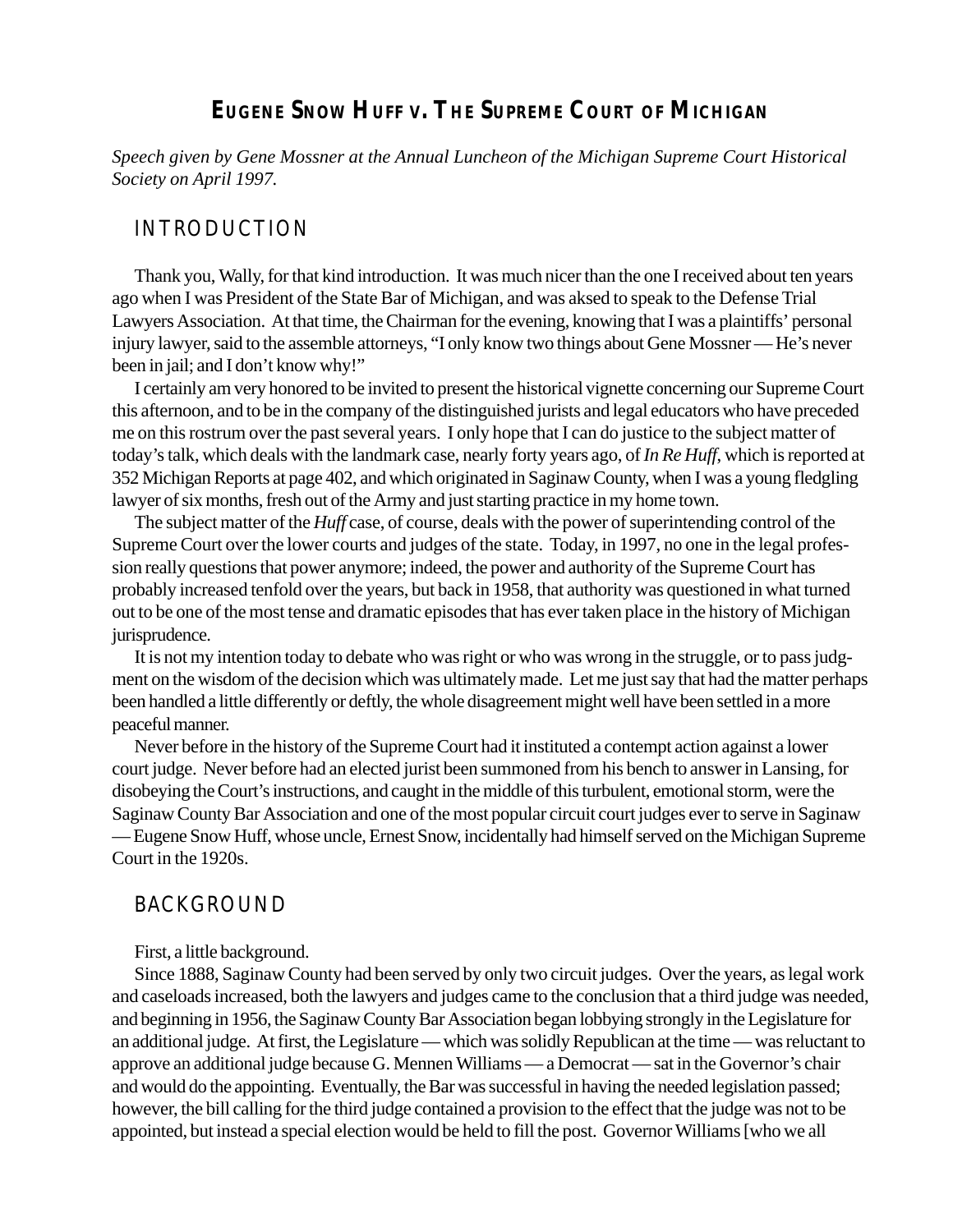# **EUGENE SNOW HUFF V. THE SUPREME COURT OF MICHIGAN**

*Speech given by Gene Mossner at the Annual Luncheon of the Michigan Supreme Court Historical Society on April 1997.*

### INTRODUCTION

Thank you, Wally, for that kind introduction. It was much nicer than the one I received about ten years ago when I was President of the State Bar of Michigan, and was aksed to speak to the Defense Trial Lawyers Association. At that time, the Chairman for the evening, knowing that I was a plaintiffs' personal injury lawyer, said to the assemble attorneys, "I only know two things about Gene Mossner — He's never been in jail; and I don't know why!"

I certainly am very honored to be invited to present the historical vignette concerning our Supreme Court this afternoon, and to be in the company of the distinguished jurists and legal educators who have preceded me on this rostrum over the past several years. I only hope that I can do justice to the subject matter of today's talk, which deals with the landmark case, nearly forty years ago, of *In Re Huff*, which is reported at 352 Michigan Reports at page 402, and which originated in Saginaw County, when I was a young fledgling lawyer of six months, fresh out of the Army and just starting practice in my home town.

The subject matter of the *Huff* case, of course, deals with the power of superintending control of the Supreme Court over the lower courts and judges of the state. Today, in 1997, no one in the legal profession really questions that power anymore; indeed, the power and authority of the Supreme Court has probably increased tenfold over the years, but back in 1958, that authority was questioned in what turned out to be one of the most tense and dramatic episodes that has ever taken place in the history of Michigan jurisprudence.

It is not my intention today to debate who was right or who was wrong in the struggle, or to pass judgment on the wisdom of the decision which was ultimately made. Let me just say that had the matter perhaps been handled a little differently or deftly, the whole disagreement might well have been settled in a more peaceful manner.

Never before in the history of the Supreme Court had it instituted a contempt action against a lower court judge. Never before had an elected jurist been summoned from his bench to answer in Lansing, for disobeying the Court's instructions, and caught in the middle of this turbulent, emotional storm, were the Saginaw County Bar Association and one of the most popular circuit court judges ever to serve in Saginaw — Eugene Snow Huff, whose uncle, Ernest Snow, incidentally had himself served on the Michigan Supreme Court in the 1920s.

## BACKGROUND

First, a little background.

Since 1888, Saginaw County had been served by only two circuit judges. Over the years, as legal work and caseloads increased, both the lawyers and judges came to the conclusion that a third judge was needed, and beginning in 1956, the Saginaw County Bar Association began lobbying strongly in the Legislature for an additional judge. At first, the Legislature — which was solidly Republican at the time — was reluctant to approve an additional judge because G. Mennen Williams — a Democrat — sat in the Governor's chair and would do the appointing. Eventually, the Bar was successful in having the needed legislation passed; however, the bill calling for the third judge contained a provision to the effect that the judge was not to be appointed, but instead a special election would be held to fill the post. Governor Williams [who we all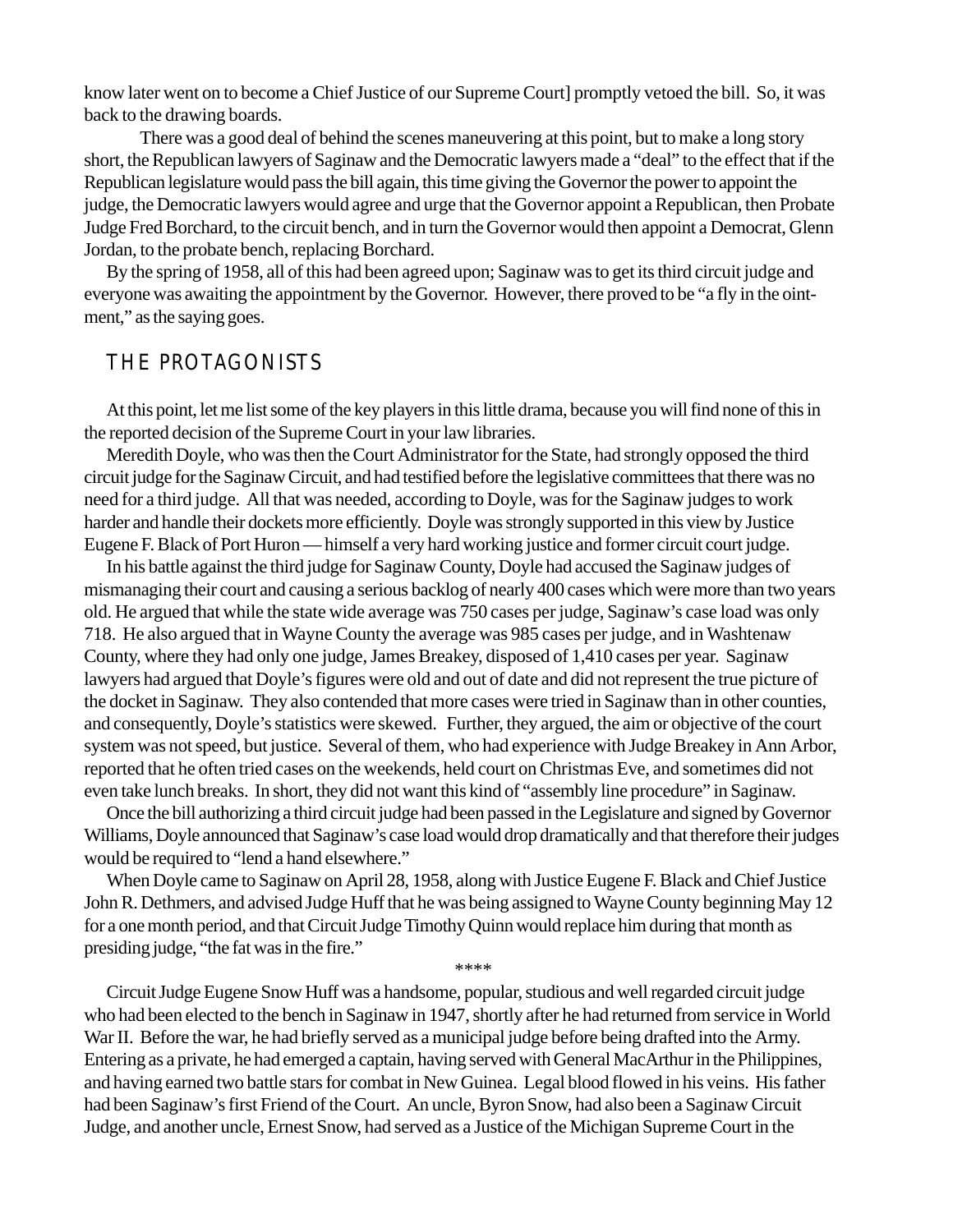know later went on to become a Chief Justice of our Supreme Court] promptly vetoed the bill. So, it was back to the drawing boards.

There was a good deal of behind the scenes maneuvering at this point, but to make a long story short, the Republican lawyers of Saginaw and the Democratic lawyers made a "deal" to the effect that if the Republican legislature would pass the bill again, this time giving the Governor the power to appoint the judge, the Democratic lawyers would agree and urge that the Governor appoint a Republican, then Probate Judge Fred Borchard, to the circuit bench, and in turn the Governor would then appoint a Democrat, Glenn Jordan, to the probate bench, replacing Borchard.

By the spring of 1958, all of this had been agreed upon; Saginaw was to get its third circuit judge and everyone was awaiting the appointment by the Governor. However, there proved to be "a fly in the ointment," as the saying goes.

### THE PROTAGONISTS

At this point, let me list some of the key players in this little drama, because you will find none of this in the reported decision of the Supreme Court in your law libraries.

Meredith Doyle, who was then the Court Administrator for the State, had strongly opposed the third circuit judge for the Saginaw Circuit, and had testified before the legislative committees that there was no need for a third judge. All that was needed, according to Doyle, was for the Saginaw judges to work harder and handle their dockets more efficiently. Doyle was strongly supported in this view by Justice Eugene F. Black of Port Huron — himself a very hard working justice and former circuit court judge.

In his battle against the third judge for Saginaw County, Doyle had accused the Saginaw judges of mismanaging their court and causing a serious backlog of nearly 400 cases which were more than two years old. He argued that while the state wide average was 750 cases per judge, Saginaw's case load was only 718. He also argued that in Wayne County the average was 985 cases per judge, and in Washtenaw County, where they had only one judge, James Breakey, disposed of 1,410 cases per year. Saginaw lawyers had argued that Doyle's figures were old and out of date and did not represent the true picture of the docket in Saginaw. They also contended that more cases were tried in Saginaw than in other counties, and consequently, Doyle's statistics were skewed. Further, they argued, the aim or objective of the court system was not speed, but justice. Several of them, who had experience with Judge Breakey in Ann Arbor, reported that he often tried cases on the weekends, held court on Christmas Eve, and sometimes did not even take lunch breaks. In short, they did not want this kind of "assembly line procedure" in Saginaw.

Once the bill authorizing a third circuit judge had been passed in the Legislature and signed by Governor Williams, Doyle announced that Saginaw's case load would drop dramatically and that therefore their judges would be required to "lend a hand elsewhere."

When Doyle came to Saginaw on April 28, 1958, along with Justice Eugene F. Black and Chief Justice John R. Dethmers, and advised Judge Huff that he was being assigned to Wayne County beginning May 12 for a one month period, and that Circuit Judge Timothy Quinn would replace him during that month as presiding judge, "the fat was in the fire."

\*\*\*\*

Circuit Judge Eugene Snow Huff was a handsome, popular, studious and well regarded circuit judge who had been elected to the bench in Saginaw in 1947, shortly after he had returned from service in World War II. Before the war, he had briefly served as a municipal judge before being drafted into the Army. Entering as a private, he had emerged a captain, having served with General MacArthur in the Philippines, and having earned two battle stars for combat in New Guinea. Legal blood flowed in his veins. His father had been Saginaw's first Friend of the Court. An uncle, Byron Snow, had also been a Saginaw Circuit Judge, and another uncle, Ernest Snow, had served as a Justice of the Michigan Supreme Court in the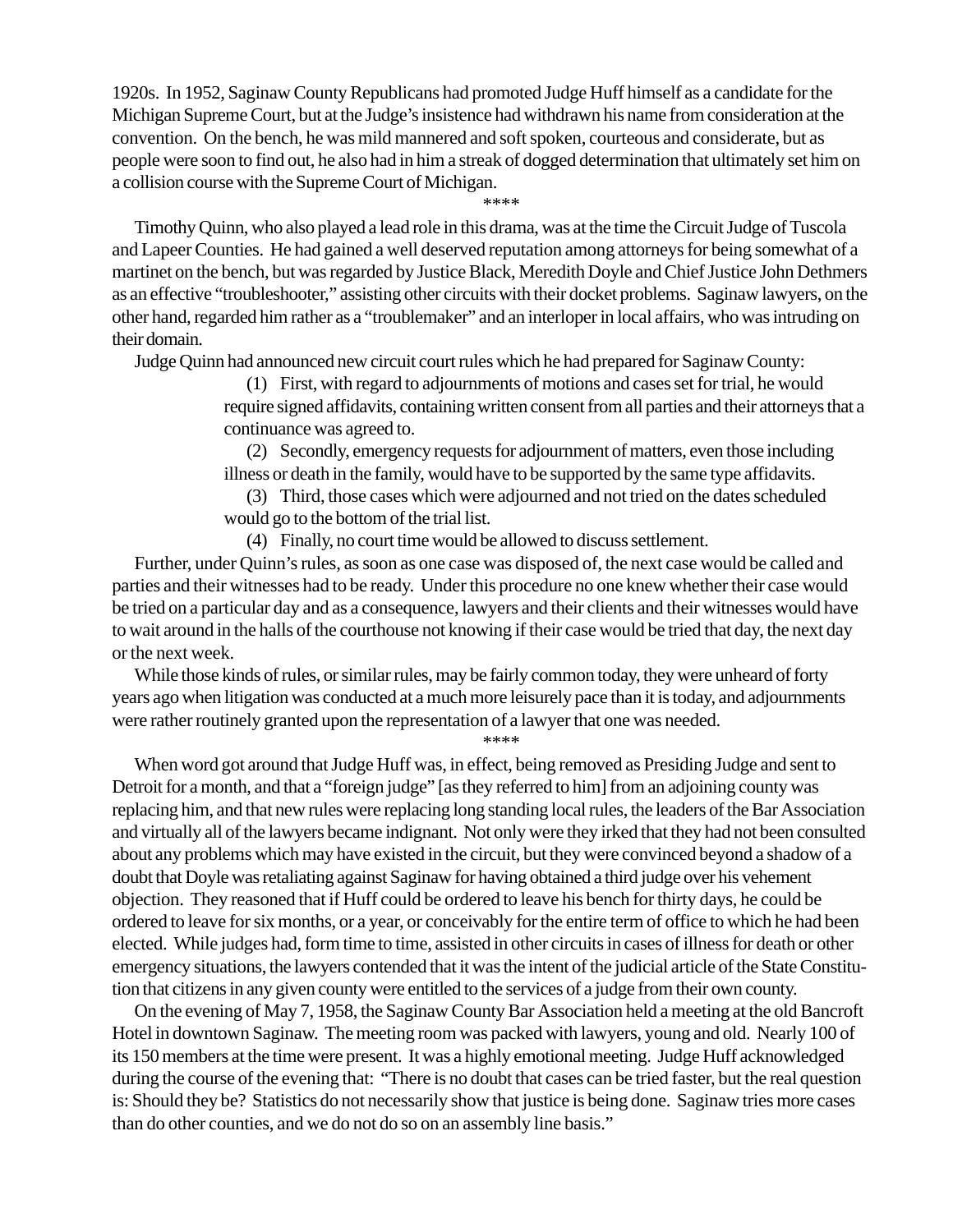1920s. In 1952, Saginaw County Republicans had promoted Judge Huff himself as a candidate for the Michigan Supreme Court, but at the Judge's insistence had withdrawn his name from consideration at the convention. On the bench, he was mild mannered and soft spoken, courteous and considerate, but as people were soon to find out, he also had in him a streak of dogged determination that ultimately set him on a collision course with the Supreme Court of Michigan.

\*\*\*\*

Timothy Quinn, who also played a lead role in this drama, was at the time the Circuit Judge of Tuscola and Lapeer Counties. He had gained a well deserved reputation among attorneys for being somewhat of a martinet on the bench, but was regarded by Justice Black, Meredith Doyle and Chief Justice John Dethmers as an effective "troubleshooter," assisting other circuits with their docket problems. Saginaw lawyers, on the other hand, regarded him rather as a "troublemaker" and an interloper in local affairs, who was intruding on their domain.

Judge Quinn had announced new circuit court rules which he had prepared for Saginaw County:

(1) First, with regard to adjournments of motions and cases set for trial, he would require signed affidavits, containing written consent from all parties and their attorneys that a continuance was agreed to.

(2) Secondly, emergency requests for adjournment of matters, even those including illness or death in the family, would have to be supported by the same type affidavits.

(3) Third, those cases which were adjourned and not tried on the dates scheduled would go to the bottom of the trial list.

(4) Finally, no court time would be allowed to discuss settlement.

Further, under Quinn's rules, as soon as one case was disposed of, the next case would be called and parties and their witnesses had to be ready. Under this procedure no one knew whether their case would be tried on a particular day and as a consequence, lawyers and their clients and their witnesses would have to wait around in the halls of the courthouse not knowing if their case would be tried that day, the next day or the next week.

While those kinds of rules, or similar rules, may be fairly common today, they were unheard of forty years ago when litigation was conducted at a much more leisurely pace than it is today, and adjournments were rather routinely granted upon the representation of a lawyer that one was needed.

\*\*\*\*

When word got around that Judge Huff was, in effect, being removed as Presiding Judge and sent to Detroit for a month, and that a "foreign judge" [as they referred to him] from an adjoining county was replacing him, and that new rules were replacing long standing local rules, the leaders of the Bar Association and virtually all of the lawyers became indignant. Not only were they irked that they had not been consulted about any problems which may have existed in the circuit, but they were convinced beyond a shadow of a doubt that Doyle was retaliating against Saginaw for having obtained a third judge over his vehement objection. They reasoned that if Huff could be ordered to leave his bench for thirty days, he could be ordered to leave for six months, or a year, or conceivably for the entire term of office to which he had been elected. While judges had, form time to time, assisted in other circuits in cases of illness for death or other emergency situations, the lawyers contended that it was the intent of the judicial article of the State Constitution that citizens in any given county were entitled to the services of a judge from their own county.

On the evening of May 7, 1958, the Saginaw County Bar Association held a meeting at the old Bancroft Hotel in downtown Saginaw. The meeting room was packed with lawyers, young and old. Nearly 100 of its 150 members at the time were present. It was a highly emotional meeting. Judge Huff acknowledged during the course of the evening that: "There is no doubt that cases can be tried faster, but the real question is: Should they be? Statistics do not necessarily show that justice is being done. Saginaw tries more cases than do other counties, and we do not do so on an assembly line basis."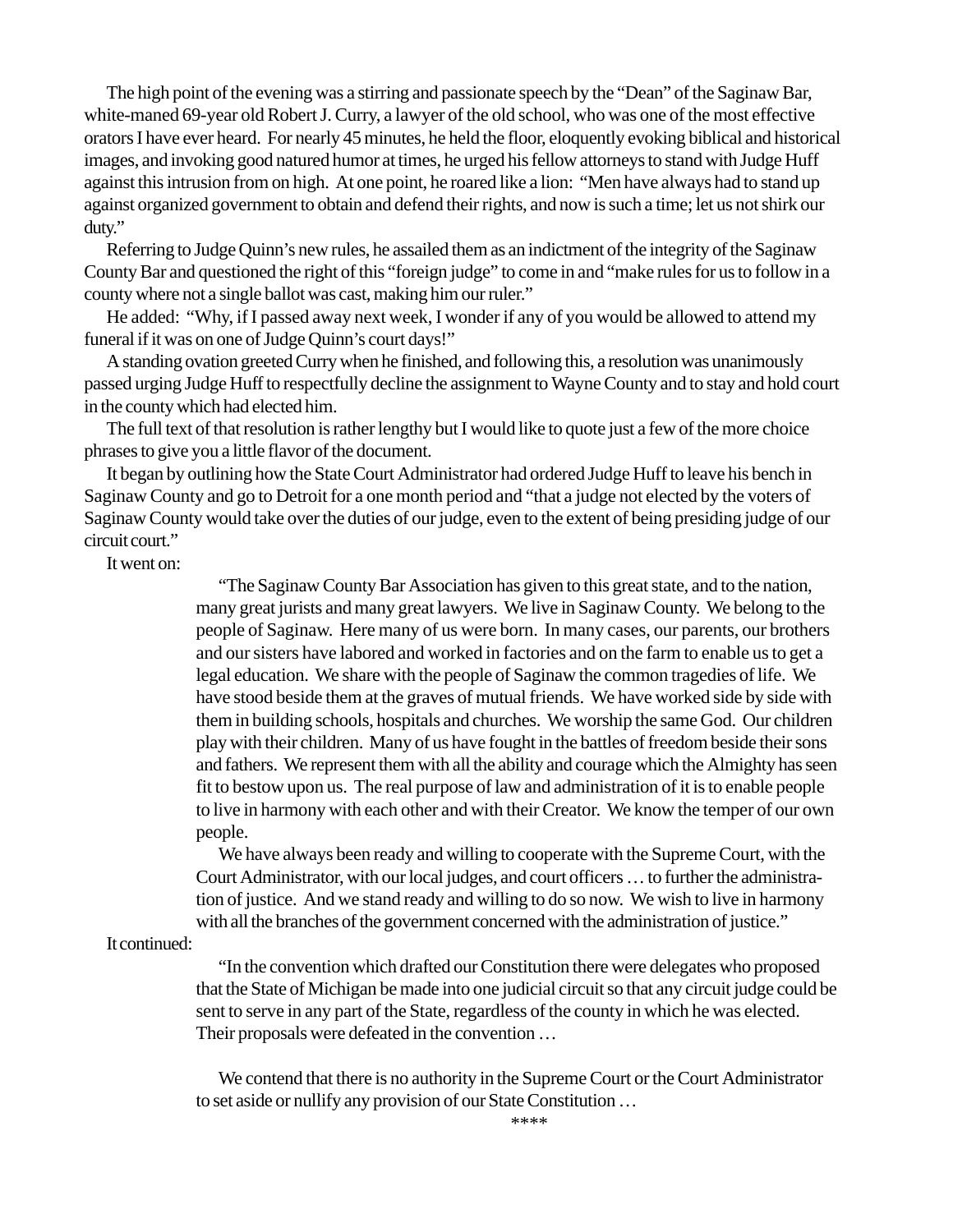The high point of the evening was a stirring and passionate speech by the "Dean" of the Saginaw Bar, white-maned 69-year old Robert J. Curry, a lawyer of the old school, who was one of the most effective orators I have ever heard. For nearly 45 minutes, he held the floor, eloquently evoking biblical and historical images, and invoking good natured humor at times, he urged his fellow attorneys to stand with Judge Huff against this intrusion from on high. At one point, he roared like a lion: "Men have always had to stand up against organized government to obtain and defend their rights, and now is such a time; let us not shirk our duty."

Referring to Judge Quinn's new rules, he assailed them as an indictment of the integrity of the Saginaw County Bar and questioned the right of this "foreign judge" to come in and "make rules for us to follow in a county where not a single ballot was cast, making him our ruler."

He added: "Why, if I passed away next week, I wonder if any of you would be allowed to attend my funeral if it was on one of Judge Quinn's court days!"

A standing ovation greeted Curry when he finished, and following this, a resolution was unanimously passed urging Judge Huff to respectfully decline the assignment to Wayne County and to stay and hold court in the county which had elected him.

The full text of that resolution is rather lengthy but I would like to quote just a few of the more choice phrases to give you a little flavor of the document.

It began by outlining how the State Court Administrator had ordered Judge Huff to leave his bench in Saginaw County and go to Detroit for a one month period and "that a judge not elected by the voters of Saginaw County would take over the duties of our judge, even to the extent of being presiding judge of our circuit court."

It went on:

"The Saginaw County Bar Association has given to this great state, and to the nation, many great jurists and many great lawyers. We live in Saginaw County. We belong to the people of Saginaw. Here many of us were born. In many cases, our parents, our brothers and our sisters have labored and worked in factories and on the farm to enable us to get a legal education. We share with the people of Saginaw the common tragedies of life. We have stood beside them at the graves of mutual friends. We have worked side by side with them in building schools, hospitals and churches. We worship the same God. Our children play with their children. Many of us have fought in the battles of freedom beside their sons and fathers. We represent them with all the ability and courage which the Almighty has seen fit to bestow upon us. The real purpose of law and administration of it is to enable people to live in harmony with each other and with their Creator. We know the temper of our own people.

We have always been ready and willing to cooperate with the Supreme Court, with the Court Administrator, with our local judges, and court officers … to further the administration of justice. And we stand ready and willing to do so now. We wish to live in harmony with all the branches of the government concerned with the administration of justice."

#### It continued:

"In the convention which drafted our Constitution there were delegates who proposed that the State of Michigan be made into one judicial circuit so that any circuit judge could be sent to serve in any part of the State, regardless of the county in which he was elected. Their proposals were defeated in the convention …

We contend that there is no authority in the Supreme Court or the Court Administrator to set aside or nullify any provision of our State Constitution …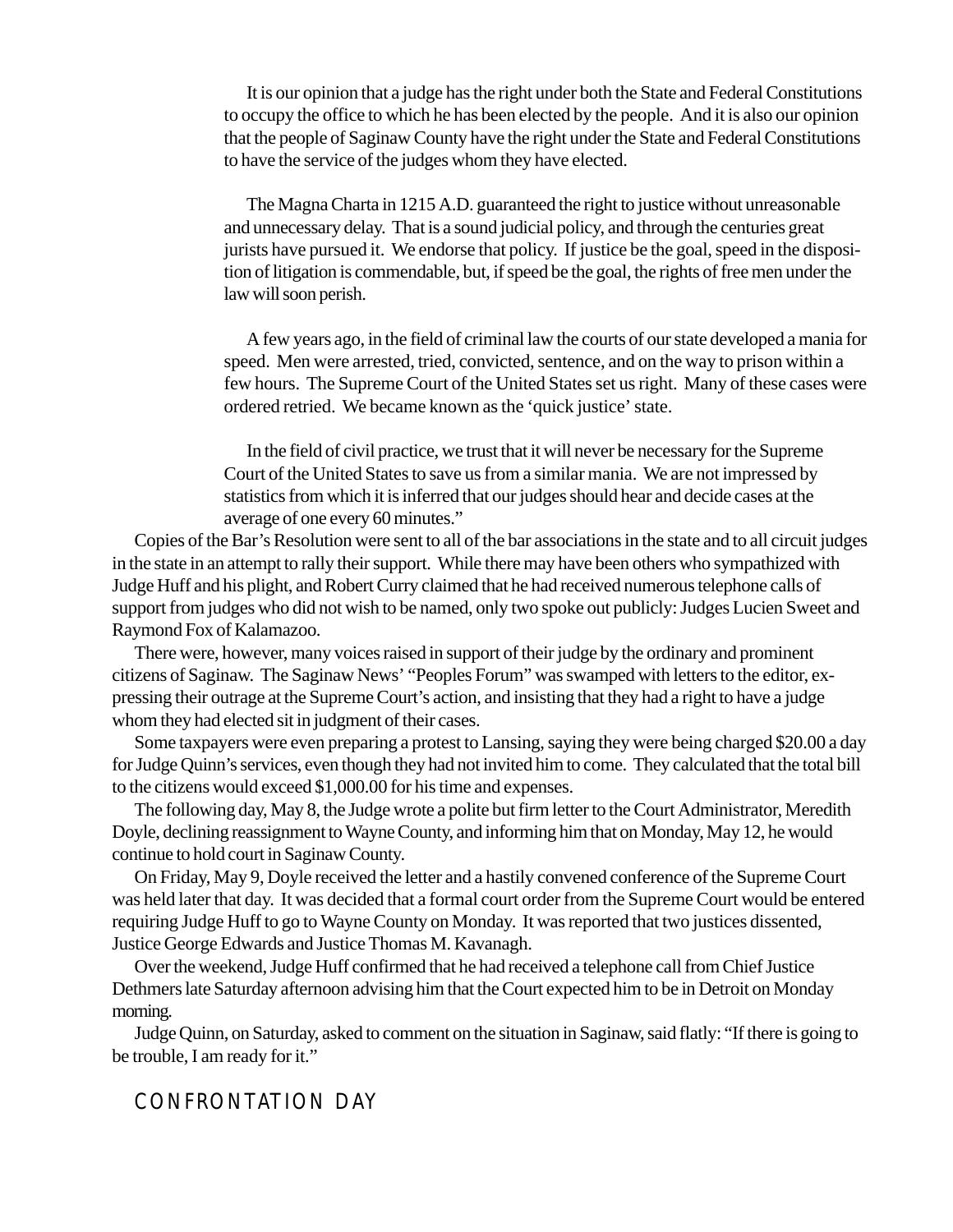It is our opinion that a judge has the right under both the State and Federal Constitutions to occupy the office to which he has been elected by the people. And it is also our opinion that the people of Saginaw County have the right under the State and Federal Constitutions to have the service of the judges whom they have elected.

The Magna Charta in 1215 A.D. guaranteed the right to justice without unreasonable and unnecessary delay. That is a sound judicial policy, and through the centuries great jurists have pursued it. We endorse that policy. If justice be the goal, speed in the disposition of litigation is commendable, but, if speed be the goal, the rights of free men under the law will soon perish.

A few years ago, in the field of criminal law the courts of our state developed a mania for speed. Men were arrested, tried, convicted, sentence, and on the way to prison within a few hours. The Supreme Court of the United States set us right. Many of these cases were ordered retried. We became known as the 'quick justice' state.

In the field of civil practice, we trust that it will never be necessary for the Supreme Court of the United States to save us from a similar mania. We are not impressed by statistics from which it is inferred that our judges should hear and decide cases at the average of one every 60 minutes."

Copies of the Bar's Resolution were sent to all of the bar associations in the state and to all circuit judges in the state in an attempt to rally their support. While there may have been others who sympathized with Judge Huff and his plight, and Robert Curry claimed that he had received numerous telephone calls of support from judges who did not wish to be named, only two spoke out publicly: Judges Lucien Sweet and Raymond Fox of Kalamazoo.

There were, however, many voices raised in support of their judge by the ordinary and prominent citizens of Saginaw. The Saginaw News' "Peoples Forum" was swamped with letters to the editor, expressing their outrage at the Supreme Court's action, and insisting that they had a right to have a judge whom they had elected sit in judgment of their cases.

Some taxpayers were even preparing a protest to Lansing, saying they were being charged \$20.00 a day for Judge Quinn's services, even though they had not invited him to come. They calculated that the total bill to the citizens would exceed \$1,000.00 for his time and expenses.

The following day, May 8, the Judge wrote a polite but firm letter to the Court Administrator, Meredith Doyle, declining reassignment to Wayne County, and informing him that on Monday, May 12, he would continue to hold court in Saginaw County.

On Friday, May 9, Doyle received the letter and a hastily convened conference of the Supreme Court was held later that day. It was decided that a formal court order from the Supreme Court would be entered requiring Judge Huff to go to Wayne County on Monday. It was reported that two justices dissented, Justice George Edwards and Justice Thomas M. Kavanagh.

Over the weekend, Judge Huff confirmed that he had received a telephone call from Chief Justice Dethmers late Saturday afternoon advising him that the Court expected him to be in Detroit on Monday morning.

Judge Quinn, on Saturday, asked to comment on the situation in Saginaw, said flatly: "If there is going to be trouble, I am ready for it."

## CONFRONTATION DAY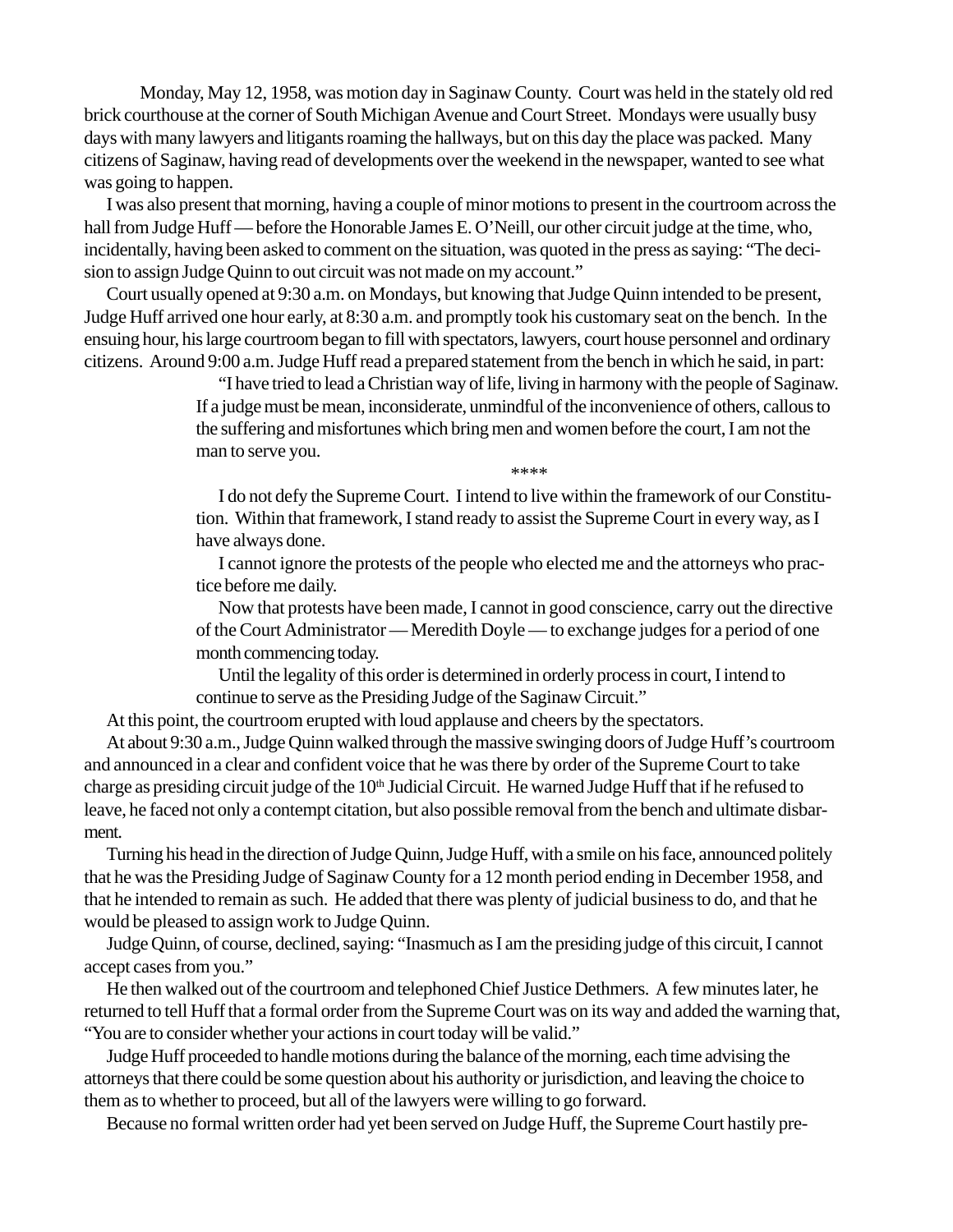Monday, May 12, 1958, was motion day in Saginaw County. Court was held in the stately old red brick courthouse at the corner of South Michigan Avenue and Court Street. Mondays were usually busy days with many lawyers and litigants roaming the hallways, but on this day the place was packed. Many citizens of Saginaw, having read of developments over the weekend in the newspaper, wanted to see what was going to happen.

I was also present that morning, having a couple of minor motions to present in the courtroom across the hall from Judge Huff — before the Honorable James E. O'Neill, our other circuit judge at the time, who, incidentally, having been asked to comment on the situation, was quoted in the press as saying: "The decision to assign Judge Quinn to out circuit was not made on my account."

Court usually opened at 9:30 a.m. on Mondays, but knowing that Judge Quinn intended to be present, Judge Huff arrived one hour early, at 8:30 a.m. and promptly took his customary seat on the bench. In the ensuing hour, his large courtroom began to fill with spectators, lawyers, court house personnel and ordinary citizens. Around 9:00 a.m. Judge Huff read a prepared statement from the bench in which he said, in part:

> "I have tried to lead a Christian way of life, living in harmony with the people of Saginaw. If a judge must be mean, inconsiderate, unmindful of the inconvenience of others, callous to the suffering and misfortunes which bring men and women before the court, I am not the man to serve you.

\*\*\*\*

I do not defy the Supreme Court. I intend to live within the framework of our Constitution. Within that framework, I stand ready to assist the Supreme Court in every way, as I have always done.

I cannot ignore the protests of the people who elected me and the attorneys who practice before me daily.

Now that protests have been made, I cannot in good conscience, carry out the directive of the Court Administrator — Meredith Doyle — to exchange judges for a period of one month commencing today.

Until the legality of this order is determined in orderly process in court, I intend to continue to serve as the Presiding Judge of the Saginaw Circuit."

At this point, the courtroom erupted with loud applause and cheers by the spectators.

At about 9:30 a.m., Judge Quinn walked through the massive swinging doors of Judge Huff's courtroom and announced in a clear and confident voice that he was there by order of the Supreme Court to take charge as presiding circuit judge of the 10<sup>th</sup> Judicial Circuit. He warned Judge Huff that if he refused to leave, he faced not only a contempt citation, but also possible removal from the bench and ultimate disbarment.

Turning his head in the direction of Judge Quinn, Judge Huff, with a smile on his face, announced politely that he was the Presiding Judge of Saginaw County for a 12 month period ending in December 1958, and that he intended to remain as such. He added that there was plenty of judicial business to do, and that he would be pleased to assign work to Judge Quinn.

Judge Quinn, of course, declined, saying: "Inasmuch as I am the presiding judge of this circuit, I cannot accept cases from you."

He then walked out of the courtroom and telephoned Chief Justice Dethmers. A few minutes later, he returned to tell Huff that a formal order from the Supreme Court was on its way and added the warning that, "You are to consider whether your actions in court today will be valid."

Judge Huff proceeded to handle motions during the balance of the morning, each time advising the attorneys that there could be some question about his authority or jurisdiction, and leaving the choice to them as to whether to proceed, but all of the lawyers were willing to go forward.

Because no formal written order had yet been served on Judge Huff, the Supreme Court hastily pre-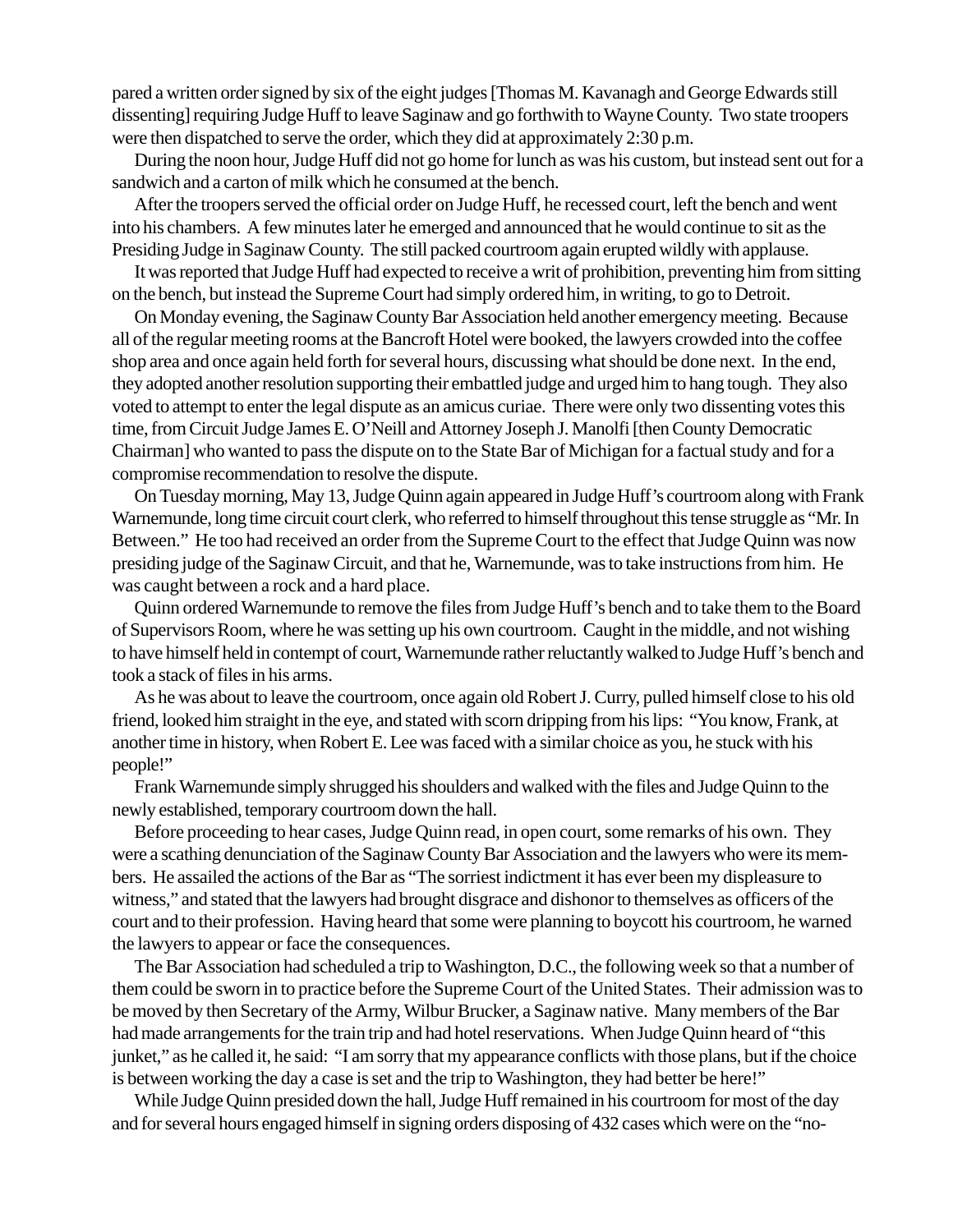pared a written order signed by six of the eight judges [Thomas M. Kavanagh and George Edwards still dissenting] requiring Judge Huff to leave Saginaw and go forthwith to Wayne County. Two state troopers were then dispatched to serve the order, which they did at approximately 2:30 p.m.

During the noon hour, Judge Huff did not go home for lunch as was his custom, but instead sent out for a sandwich and a carton of milk which he consumed at the bench.

After the troopers served the official order on Judge Huff, he recessed court, left the bench and went into his chambers. A few minutes later he emerged and announced that he would continue to sit as the Presiding Judge in Saginaw County. The still packed courtroom again erupted wildly with applause.

It was reported that Judge Huff had expected to receive a writ of prohibition, preventing him from sitting on the bench, but instead the Supreme Court had simply ordered him, in writing, to go to Detroit.

On Monday evening, the Saginaw County Bar Association held another emergency meeting. Because all of the regular meeting rooms at the Bancroft Hotel were booked, the lawyers crowded into the coffee shop area and once again held forth for several hours, discussing what should be done next. In the end, they adopted another resolution supporting their embattled judge and urged him to hang tough. They also voted to attempt to enter the legal dispute as an amicus curiae. There were only two dissenting votes this time, from Circuit Judge James E. O'Neill and Attorney Joseph J. Manolfi [then County Democratic Chairman] who wanted to pass the dispute on to the State Bar of Michigan for a factual study and for a compromise recommendation to resolve the dispute.

On Tuesday morning, May 13, Judge Quinn again appeared in Judge Huff's courtroom along with Frank Warnemunde, long time circuit court clerk, who referred to himself throughout this tense struggle as "Mr. In Between." He too had received an order from the Supreme Court to the effect that Judge Quinn was now presiding judge of the Saginaw Circuit, and that he, Warnemunde, was to take instructions from him. He was caught between a rock and a hard place.

Quinn ordered Warnemunde to remove the files from Judge Huff's bench and to take them to the Board of Supervisors Room, where he was setting up his own courtroom. Caught in the middle, and not wishing to have himself held in contempt of court, Warnemunde rather reluctantly walked to Judge Huff's bench and took a stack of files in his arms.

As he was about to leave the courtroom, once again old Robert J. Curry, pulled himself close to his old friend, looked him straight in the eye, and stated with scorn dripping from his lips: "You know, Frank, at another time in history, when Robert E. Lee was faced with a similar choice as you, he stuck with his people!"

Frank Warnemunde simply shrugged his shoulders and walked with the files and Judge Quinn to the newly established, temporary courtroom down the hall.

Before proceeding to hear cases, Judge Quinn read, in open court, some remarks of his own. They were a scathing denunciation of the Saginaw County Bar Association and the lawyers who were its members. He assailed the actions of the Bar as "The sorriest indictment it has ever been my displeasure to witness," and stated that the lawyers had brought disgrace and dishonor to themselves as officers of the court and to their profession. Having heard that some were planning to boycott his courtroom, he warned the lawyers to appear or face the consequences.

The Bar Association had scheduled a trip to Washington, D.C., the following week so that a number of them could be sworn in to practice before the Supreme Court of the United States. Their admission was to be moved by then Secretary of the Army, Wilbur Brucker, a Saginaw native. Many members of the Bar had made arrangements for the train trip and had hotel reservations. When Judge Quinn heard of "this junket," as he called it, he said: "I am sorry that my appearance conflicts with those plans, but if the choice is between working the day a case is set and the trip to Washington, they had better be here!"

While Judge Quinn presided down the hall, Judge Huff remained in his courtroom for most of the day and for several hours engaged himself in signing orders disposing of 432 cases which were on the "no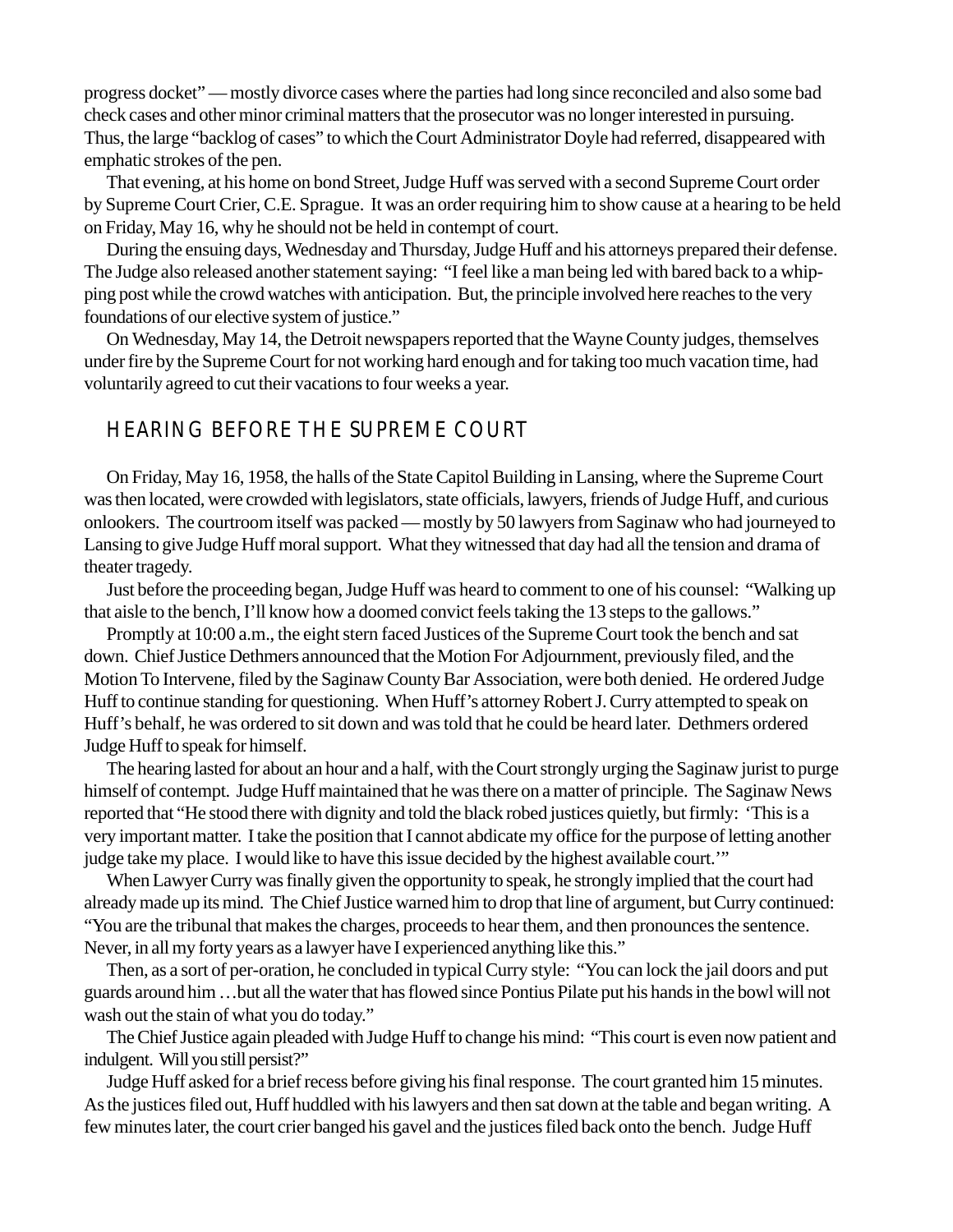progress docket" — mostly divorce cases where the parties had long since reconciled and also some bad check cases and other minor criminal matters that the prosecutor was no longer interested in pursuing. Thus, the large "backlog of cases" to which the Court Administrator Doyle had referred, disappeared with emphatic strokes of the pen.

That evening, at his home on bond Street, Judge Huff was served with a second Supreme Court order by Supreme Court Crier, C.E. Sprague. It was an order requiring him to show cause at a hearing to be held on Friday, May 16, why he should not be held in contempt of court.

During the ensuing days, Wednesday and Thursday, Judge Huff and his attorneys prepared their defense. The Judge also released another statement saying: "I feel like a man being led with bared back to a whipping post while the crowd watches with anticipation. But, the principle involved here reaches to the very foundations of our elective system of justice."

On Wednesday, May 14, the Detroit newspapers reported that the Wayne County judges, themselves under fire by the Supreme Court for not working hard enough and for taking too much vacation time, had voluntarily agreed to cut their vacations to four weeks a year.

## HEARING BEFORE THE SUPREME COURT

On Friday, May 16, 1958, the halls of the State Capitol Building in Lansing, where the Supreme Court was then located, were crowded with legislators, state officials, lawyers, friends of Judge Huff, and curious onlookers. The courtroom itself was packed — mostly by 50 lawyers from Saginaw who had journeyed to Lansing to give Judge Huff moral support. What they witnessed that day had all the tension and drama of theater tragedy.

Just before the proceeding began, Judge Huff was heard to comment to one of his counsel: "Walking up that aisle to the bench, I'll know how a doomed convict feels taking the 13 steps to the gallows."

Promptly at 10:00 a.m., the eight stern faced Justices of the Supreme Court took the bench and sat down. Chief Justice Dethmers announced that the Motion For Adjournment, previously filed, and the Motion To Intervene, filed by the Saginaw County Bar Association, were both denied. He ordered Judge Huff to continue standing for questioning. When Huff's attorney Robert J. Curry attempted to speak on Huff's behalf, he was ordered to sit down and was told that he could be heard later. Dethmers ordered Judge Huff to speak for himself.

The hearing lasted for about an hour and a half, with the Court strongly urging the Saginaw jurist to purge himself of contempt. Judge Huff maintained that he was there on a matter of principle. The Saginaw News reported that "He stood there with dignity and told the black robed justices quietly, but firmly: 'This is a very important matter. I take the position that I cannot abdicate my office for the purpose of letting another judge take my place. I would like to have this issue decided by the highest available court.'"

When Lawyer Curry was finally given the opportunity to speak, he strongly implied that the court had already made up its mind. The Chief Justice warned him to drop that line of argument, but Curry continued: "You are the tribunal that makes the charges, proceeds to hear them, and then pronounces the sentence. Never, in all my forty years as a lawyer have I experienced anything like this."

Then, as a sort of per-oration, he concluded in typical Curry style: "You can lock the jail doors and put guards around him …but all the water that has flowed since Pontius Pilate put his hands in the bowl will not wash out the stain of what you do today."

The Chief Justice again pleaded with Judge Huff to change his mind: "This court is even now patient and indulgent. Will you still persist?"

Judge Huff asked for a brief recess before giving his final response. The court granted him 15 minutes. As the justices filed out, Huff huddled with his lawyers and then sat down at the table and began writing. A few minutes later, the court crier banged his gavel and the justices filed back onto the bench. Judge Huff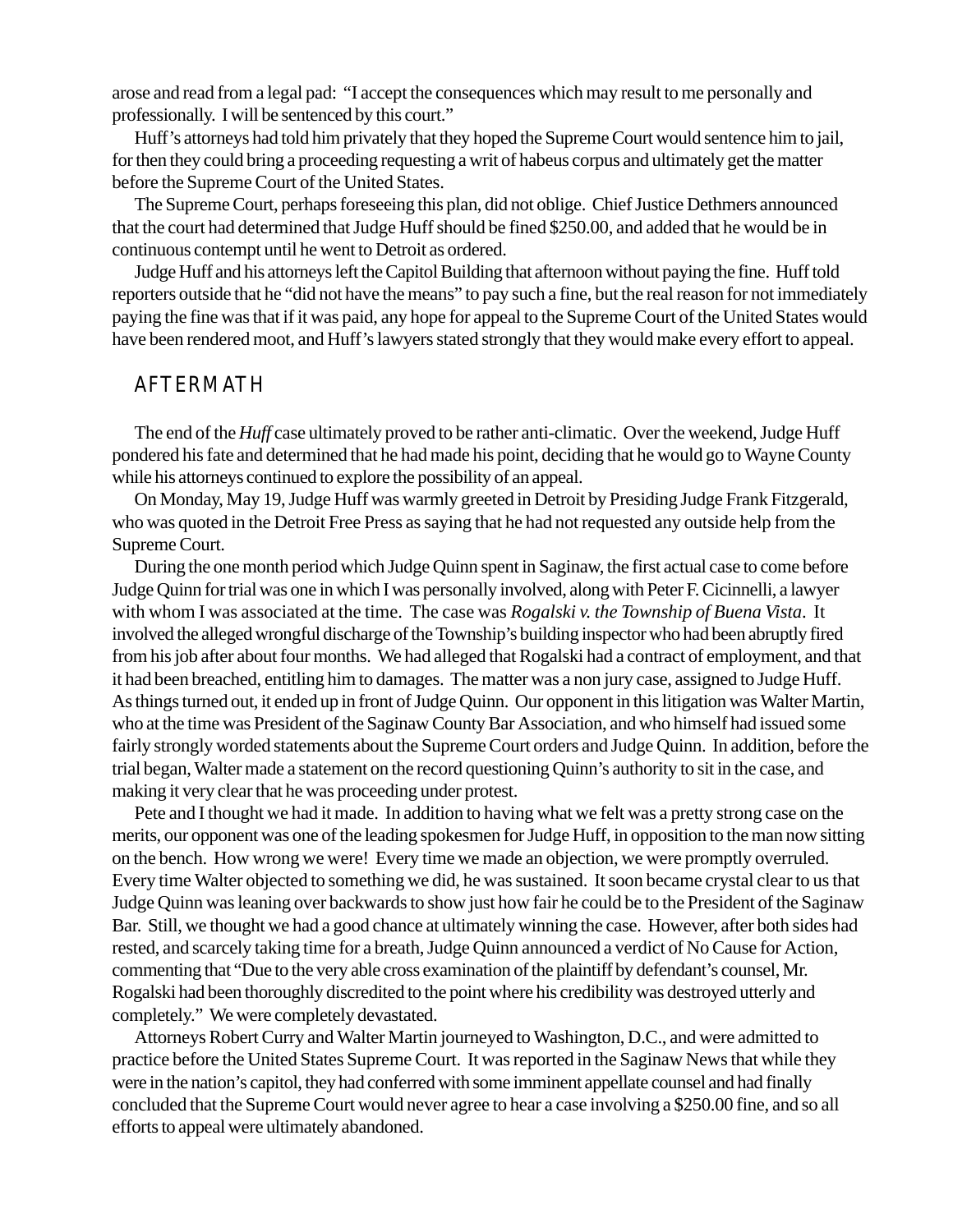arose and read from a legal pad: "I accept the consequences which may result to me personally and professionally. I will be sentenced by this court."

Huff's attorneys had told him privately that they hoped the Supreme Court would sentence him to jail, for then they could bring a proceeding requesting a writ of habeus corpus and ultimately get the matter before the Supreme Court of the United States.

The Supreme Court, perhaps foreseeing this plan, did not oblige. Chief Justice Dethmers announced that the court had determined that Judge Huff should be fined \$250.00, and added that he would be in continuous contempt until he went to Detroit as ordered.

Judge Huff and his attorneys left the Capitol Building that afternoon without paying the fine. Huff told reporters outside that he "did not have the means" to pay such a fine, but the real reason for not immediately paying the fine was that if it was paid, any hope for appeal to the Supreme Court of the United States would have been rendered moot, and Huff's lawyers stated strongly that they would make every effort to appeal.

### AFTERMATH

The end of the *Huff* case ultimately proved to be rather anti-climatic. Over the weekend, Judge Huff pondered his fate and determined that he had made his point, deciding that he would go to Wayne County while his attorneys continued to explore the possibility of an appeal.

On Monday, May 19, Judge Huff was warmly greeted in Detroit by Presiding Judge Frank Fitzgerald, who was quoted in the Detroit Free Press as saying that he had not requested any outside help from the Supreme Court.

During the one month period which Judge Quinn spent in Saginaw, the first actual case to come before Judge Quinn for trial was one in which I was personally involved, along with Peter F. Cicinnelli, a lawyer with whom I was associated at the time. The case was *Rogalski v. the Township of Buena Vista*. It involved the alleged wrongful discharge of the Township's building inspector who had been abruptly fired from his job after about four months. We had alleged that Rogalski had a contract of employment, and that it had been breached, entitling him to damages. The matter was a non jury case, assigned to Judge Huff. As things turned out, it ended up in front of Judge Quinn. Our opponent in this litigation was Walter Martin, who at the time was President of the Saginaw County Bar Association, and who himself had issued some fairly strongly worded statements about the Supreme Court orders and Judge Quinn. In addition, before the trial began, Walter made a statement on the record questioning Quinn's authority to sit in the case, and making it very clear that he was proceeding under protest.

Pete and I thought we had it made. In addition to having what we felt was a pretty strong case on the merits, our opponent was one of the leading spokesmen for Judge Huff, in opposition to the man now sitting on the bench. How wrong we were! Every time we made an objection, we were promptly overruled. Every time Walter objected to something we did, he was sustained. It soon became crystal clear to us that Judge Quinn was leaning over backwards to show just how fair he could be to the President of the Saginaw Bar. Still, we thought we had a good chance at ultimately winning the case. However, after both sides had rested, and scarcely taking time for a breath, Judge Quinn announced a verdict of No Cause for Action, commenting that "Due to the very able cross examination of the plaintiff by defendant's counsel, Mr. Rogalski had been thoroughly discredited to the point where his credibility was destroyed utterly and completely." We were completely devastated.

Attorneys Robert Curry and Walter Martin journeyed to Washington, D.C., and were admitted to practice before the United States Supreme Court. It was reported in the Saginaw News that while they were in the nation's capitol, they had conferred with some imminent appellate counsel and had finally concluded that the Supreme Court would never agree to hear a case involving a \$250.00 fine, and so all efforts to appeal were ultimately abandoned.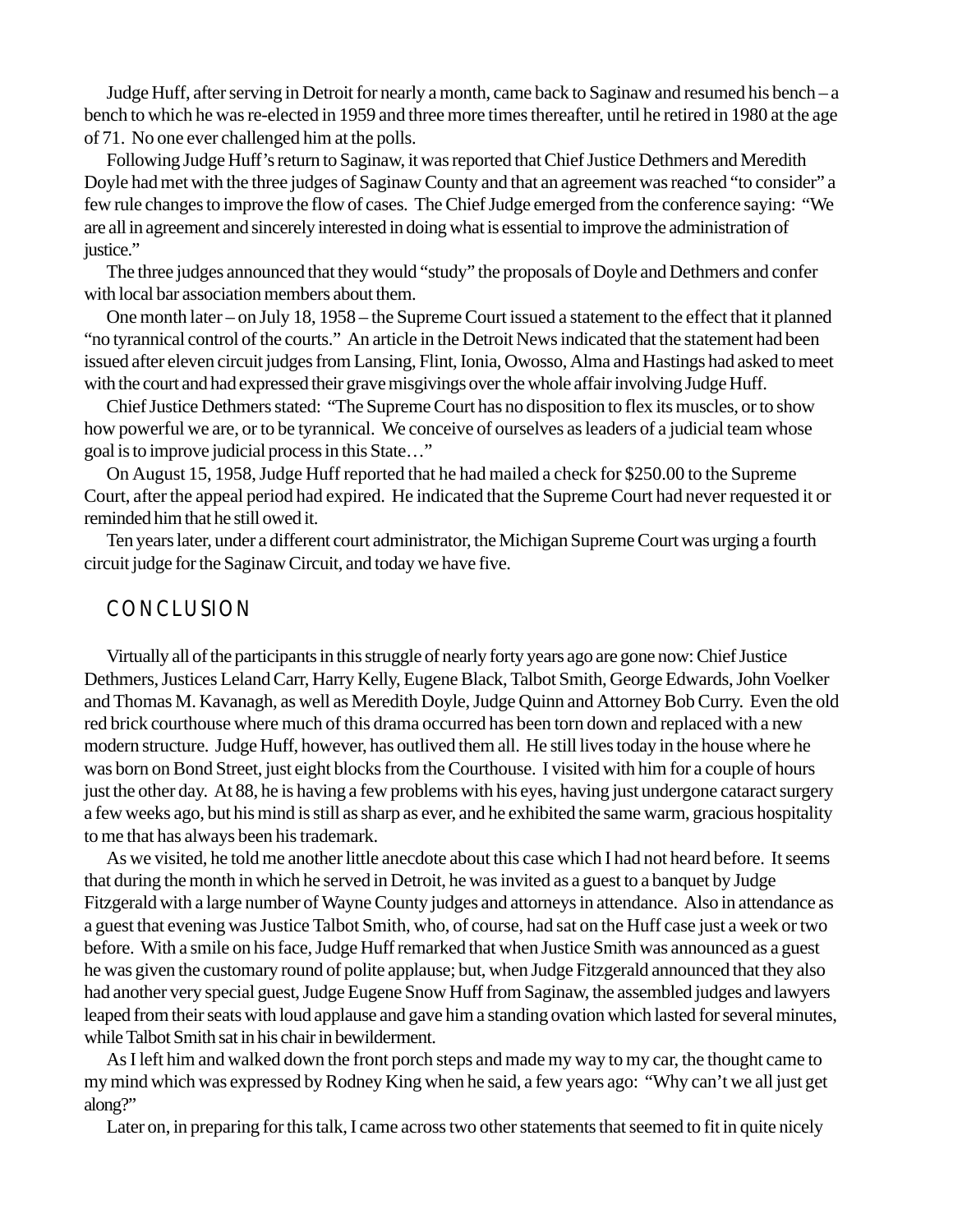Judge Huff, after serving in Detroit for nearly a month, came back to Saginaw and resumed his bench – a bench to which he was re-elected in 1959 and three more times thereafter, until he retired in 1980 at the age of 71. No one ever challenged him at the polls.

Following Judge Huff's return to Saginaw, it was reported that Chief Justice Dethmers and Meredith Doyle had met with the three judges of Saginaw County and that an agreement was reached "to consider" a few rule changes to improve the flow of cases. The Chief Judge emerged from the conference saying: "We are all in agreement and sincerely interested in doing what is essential to improve the administration of justice."

The three judges announced that they would "study" the proposals of Doyle and Dethmers and confer with local bar association members about them.

One month later – on July 18, 1958 – the Supreme Court issued a statement to the effect that it planned "no tyrannical control of the courts." An article in the Detroit News indicated that the statement had been issued after eleven circuit judges from Lansing, Flint, Ionia, Owosso, Alma and Hastings had asked to meet with the court and had expressed their grave misgivings over the whole affair involving Judge Huff.

Chief Justice Dethmers stated: "The Supreme Court has no disposition to flex its muscles, or to show how powerful we are, or to be tyrannical. We conceive of ourselves as leaders of a judicial team whose goal is to improve judicial process in this State…"

On August 15, 1958, Judge Huff reported that he had mailed a check for \$250.00 to the Supreme Court, after the appeal period had expired. He indicated that the Supreme Court had never requested it or reminded him that he still owed it.

Ten years later, under a different court administrator, the Michigan Supreme Court was urging a fourth circuit judge for the Saginaw Circuit, and today we have five.

### **CONCLUSION**

Virtually all of the participants in this struggle of nearly forty years ago are gone now: Chief Justice Dethmers, Justices Leland Carr, Harry Kelly, Eugene Black, Talbot Smith, George Edwards, John Voelker and Thomas M. Kavanagh, as well as Meredith Doyle, Judge Quinn and Attorney Bob Curry. Even the old red brick courthouse where much of this drama occurred has been torn down and replaced with a new modern structure. Judge Huff, however, has outlived them all. He still lives today in the house where he was born on Bond Street, just eight blocks from the Courthouse. I visited with him for a couple of hours just the other day. At 88, he is having a few problems with his eyes, having just undergone cataract surgery a few weeks ago, but his mind is still as sharp as ever, and he exhibited the same warm, gracious hospitality to me that has always been his trademark.

As we visited, he told me another little anecdote about this case which I had not heard before. It seems that during the month in which he served in Detroit, he was invited as a guest to a banquet by Judge Fitzgerald with a large number of Wayne County judges and attorneys in attendance. Also in attendance as a guest that evening was Justice Talbot Smith, who, of course, had sat on the Huff case just a week or two before. With a smile on his face, Judge Huff remarked that when Justice Smith was announced as a guest he was given the customary round of polite applause; but, when Judge Fitzgerald announced that they also had another very special guest, Judge Eugene Snow Huff from Saginaw, the assembled judges and lawyers leaped from their seats with loud applause and gave him a standing ovation which lasted for several minutes, while Talbot Smith sat in his chair in bewilderment.

As I left him and walked down the front porch steps and made my way to my car, the thought came to my mind which was expressed by Rodney King when he said, a few years ago: "Why can't we all just get along?"

Later on, in preparing for this talk, I came across two other statements that seemed to fit in quite nicely